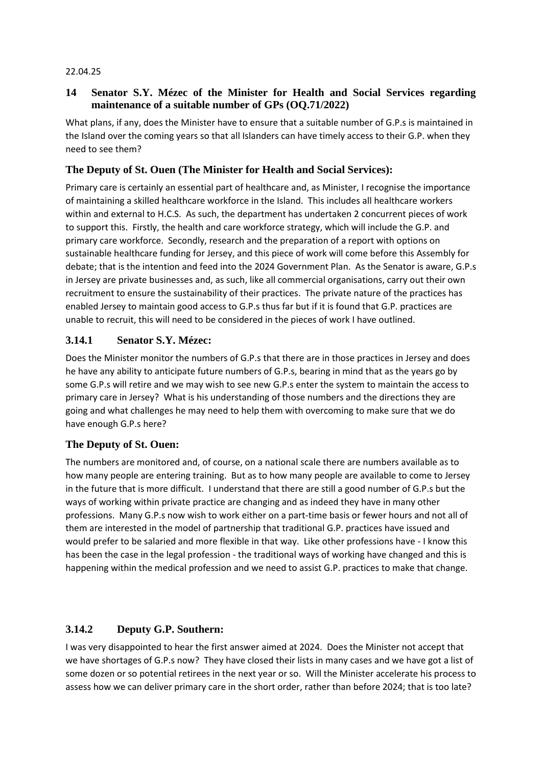#### 22.04.25

### **14 Senator S.Y. Mézec of the Minister for Health and Social Services regarding maintenance of a suitable number of GPs (OQ.71/2022)**

What plans, if any, does the Minister have to ensure that a suitable number of G.P.s is maintained in the Island over the coming years so that all Islanders can have timely access to their G.P. when they need to see them?

## **The Deputy of St. Ouen (The Minister for Health and Social Services):**

Primary care is certainly an essential part of healthcare and, as Minister, I recognise the importance of maintaining a skilled healthcare workforce in the Island. This includes all healthcare workers within and external to H.C.S. As such, the department has undertaken 2 concurrent pieces of work to support this. Firstly, the health and care workforce strategy, which will include the G.P. and primary care workforce. Secondly, research and the preparation of a report with options on sustainable healthcare funding for Jersey, and this piece of work will come before this Assembly for debate; that is the intention and feed into the 2024 Government Plan. As the Senator is aware, G.P.s in Jersey are private businesses and, as such, like all commercial organisations, carry out their own recruitment to ensure the sustainability of their practices. The private nature of the practices has enabled Jersey to maintain good access to G.P.s thus far but if it is found that G.P. practices are unable to recruit, this will need to be considered in the pieces of work I have outlined.

## **3.14.1 Senator S.Y. Mézec:**

Does the Minister monitor the numbers of G.P.s that there are in those practices in Jersey and does he have any ability to anticipate future numbers of G.P.s, bearing in mind that as the years go by some G.P.s will retire and we may wish to see new G.P.s enter the system to maintain the access to primary care in Jersey? What is his understanding of those numbers and the directions they are going and what challenges he may need to help them with overcoming to make sure that we do have enough G.P.s here?

### **The Deputy of St. Ouen:**

The numbers are monitored and, of course, on a national scale there are numbers available as to how many people are entering training. But as to how many people are available to come to Jersey in the future that is more difficult. I understand that there are still a good number of G.P.s but the ways of working within private practice are changing and as indeed they have in many other professions. Many G.P.s now wish to work either on a part-time basis or fewer hours and not all of them are interested in the model of partnership that traditional G.P. practices have issued and would prefer to be salaried and more flexible in that way. Like other professions have - I know this has been the case in the legal profession - the traditional ways of working have changed and this is happening within the medical profession and we need to assist G.P. practices to make that change.

### **3.14.2 Deputy G.P. Southern:**

I was very disappointed to hear the first answer aimed at 2024. Does the Minister not accept that we have shortages of G.P.s now? They have closed their lists in many cases and we have got a list of some dozen or so potential retirees in the next year or so. Will the Minister accelerate his process to assess how we can deliver primary care in the short order, rather than before 2024; that is too late?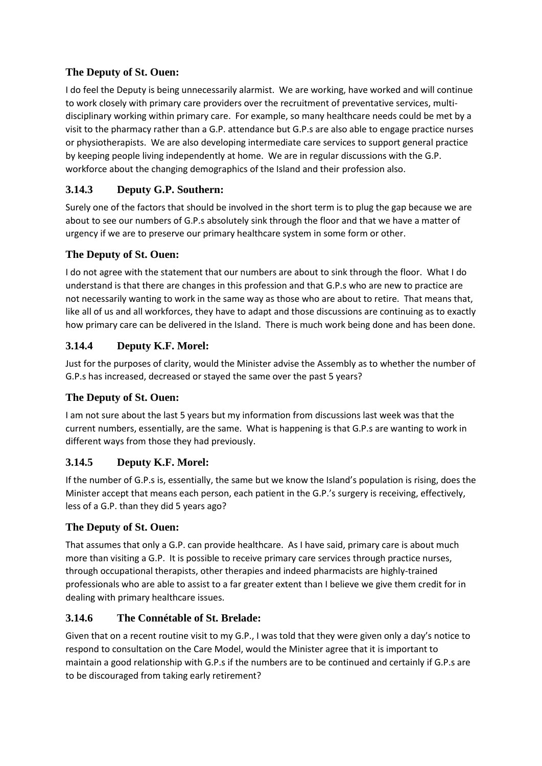## **The Deputy of St. Ouen:**

I do feel the Deputy is being unnecessarily alarmist. We are working, have worked and will continue to work closely with primary care providers over the recruitment of preventative services, multidisciplinary working within primary care. For example, so many healthcare needs could be met by a visit to the pharmacy rather than a G.P. attendance but G.P.s are also able to engage practice nurses or physiotherapists. We are also developing intermediate care services to support general practice by keeping people living independently at home. We are in regular discussions with the G.P. workforce about the changing demographics of the Island and their profession also.

# **3.14.3 Deputy G.P. Southern:**

Surely one of the factors that should be involved in the short term is to plug the gap because we are about to see our numbers of G.P.s absolutely sink through the floor and that we have a matter of urgency if we are to preserve our primary healthcare system in some form or other.

## **The Deputy of St. Ouen:**

I do not agree with the statement that our numbers are about to sink through the floor. What I do understand is that there are changes in this profession and that G.P.s who are new to practice are not necessarily wanting to work in the same way as those who are about to retire. That means that, like all of us and all workforces, they have to adapt and those discussions are continuing as to exactly how primary care can be delivered in the Island. There is much work being done and has been done.

# **3.14.4 Deputy K.F. Morel:**

Just for the purposes of clarity, would the Minister advise the Assembly as to whether the number of G.P.s has increased, decreased or stayed the same over the past 5 years?

## **The Deputy of St. Ouen:**

I am not sure about the last 5 years but my information from discussions last week was that the current numbers, essentially, are the same. What is happening is that G.P.s are wanting to work in different ways from those they had previously.

## **3.14.5 Deputy K.F. Morel:**

If the number of G.P.s is, essentially, the same but we know the Island's population is rising, does the Minister accept that means each person, each patient in the G.P.'s surgery is receiving, effectively, less of a G.P. than they did 5 years ago?

## **The Deputy of St. Ouen:**

That assumes that only a G.P. can provide healthcare. As I have said, primary care is about much more than visiting a G.P. It is possible to receive primary care services through practice nurses, through occupational therapists, other therapies and indeed pharmacists are highly-trained professionals who are able to assist to a far greater extent than I believe we give them credit for in dealing with primary healthcare issues.

## **3.14.6 The Connétable of St. Brelade:**

Given that on a recent routine visit to my G.P., I was told that they were given only a day's notice to respond to consultation on the Care Model, would the Minister agree that it is important to maintain a good relationship with G.P.s if the numbers are to be continued and certainly if G.P.s are to be discouraged from taking early retirement?